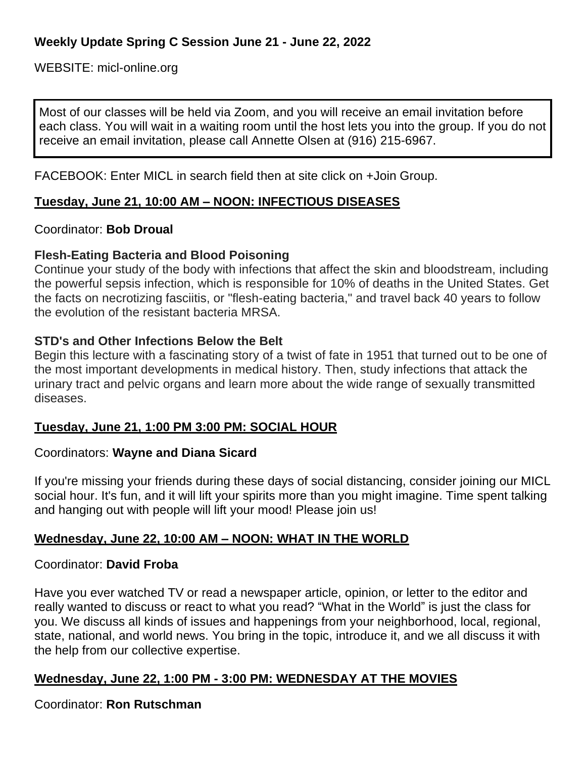WEBSITE: micl-online.org

Most of our classes will be held via Zoom, and you will receive an email invitation before each class. You will wait in a waiting room until the host lets you into the group. If you do not receive an email invitation, please call Annette Olsen at (916) 215-6967.

FACEBOOK: Enter MICL in search field then at site click on +Join Group.

# **Tuesday, June 21, 10:00 AM – NOON: INFECTIOUS DISEASES**

### Coordinator: **Bob Droual**

## **Flesh-Eating Bacteria and Blood Poisoning**

Continue your study of the body with infections that affect the skin and bloodstream, including the powerful sepsis infection, which is responsible for 10% of deaths in the United States. Get the facts on necrotizing fasciitis, or "flesh-eating bacteria," and travel back 40 years to follow the evolution of the resistant bacteria MRSA.

### **STD's and Other Infections Below the Belt**

Begin this lecture with a fascinating story of a twist of fate in 1951 that turned out to be one of the most important developments in medical history. Then, study infections that attack the urinary tract and pelvic organs and learn more about the wide range of sexually transmitted diseases.

### **Tuesday, June 21, 1:00 PM 3:00 PM: SOCIAL HOUR**

### Coordinators: **Wayne and Diana Sicard**

If you're missing your friends during these days of social [distancing,](https://www.inc.com/minda-zetlin/working-at-home-remote-work-partner-spouse-ground-rules-boundaries.html) consider joining our MICL social hour. It's fun, and it will lift your spirits more than you might imagine. Time spent talking and hanging out with people will lift your mood! Please join us!

### **Wednesday, June 22, 10:00 AM – NOON: WHAT IN THE WORLD**

### Coordinator: **David Froba**

Have you ever watched TV or read a newspaper article, opinion, or letter to the editor and really wanted to discuss or react to what you read? "What in the World" is just the class for you. We discuss all kinds of issues and happenings from your neighborhood, local, regional, state, national, and world news. You bring in the topic, introduce it, and we all discuss it with the help from our collective expertise.

### **Wednesday, June 22, 1:00 PM - 3:00 PM: WEDNESDAY AT THE MOVIES**

Coordinator: **Ron Rutschman**